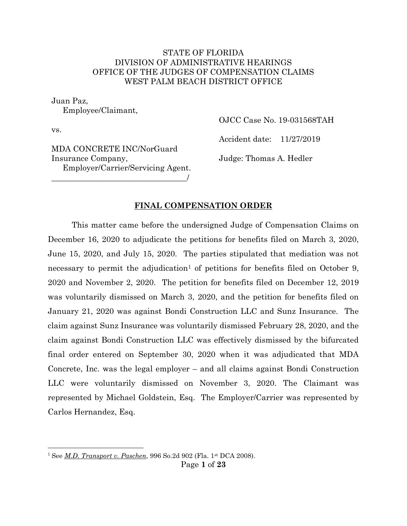#### STATE OF FLORIDA DIVISION OF ADMINISTRATIVE HEARINGS OFFICE OF THE JUDGES OF COMPENSATION CLAIMS WEST PALM BEACH DISTRICT OFFICE

Juan Paz,

Employee/Claimant,

vs.

 $\overline{a}$ 

OJCC Case No. 19-031568TAH

Accident date: 11/27/2019

MDA CONCRETE INC/NorGuard Insurance Company, Employer/Carrier/Servicing Agent.

\_\_\_\_\_\_\_\_\_\_\_\_\_\_\_\_\_\_\_\_\_\_\_\_\_\_\_\_\_\_\_\_\_\_/

Judge: Thomas A. Hedler

#### **FINAL COMPENSATION ORDER**

This matter came before the undersigned Judge of Compensation Claims on December 16, 2020 to adjudicate the petitions for benefits filed on March 3, 2020, June 15, 2020, and July 15, 2020. The parties stipulated that mediation was not necessary to permit the adjudication<sup>1</sup> of petitions for benefits filed on October 9, 2020 and November 2, 2020. The petition for benefits filed on December 12, 2019 was voluntarily dismissed on March 3, 2020, and the petition for benefits filed on January 21, 2020 was against Bondi Construction LLC and Sunz Insurance. The claim against Sunz Insurance was voluntarily dismissed February 28, 2020, and the claim against Bondi Construction LLC was effectively dismissed by the bifurcated final order entered on September 30, 2020 when it was adjudicated that MDA Concrete, Inc. was the legal employer – and all claims against Bondi Construction LLC were voluntarily dismissed on November 3, 2020. The Claimant was represented by Michael Goldstein, Esq. The Employer/Carrier was represented by Carlos Hernandez, Esq.

<sup>1</sup> See *M.D. Transport v. Paschen*, 996 So.2d 902 (Fla. 1st DCA 2008).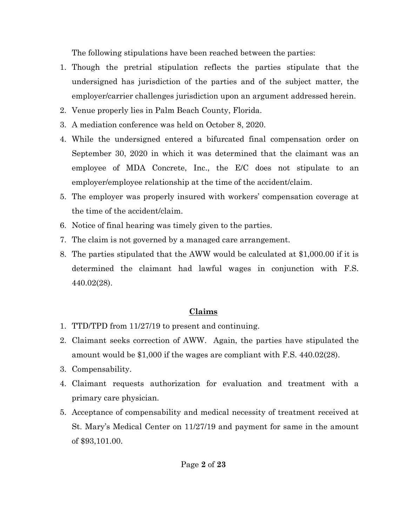The following stipulations have been reached between the parties:

- 1. Though the pretrial stipulation reflects the parties stipulate that the undersigned has jurisdiction of the parties and of the subject matter, the employer/carrier challenges jurisdiction upon an argument addressed herein.
- 2. Venue properly lies in Palm Beach County, Florida.
- 3. A mediation conference was held on October 8, 2020.
- 4. While the undersigned entered a bifurcated final compensation order on September 30, 2020 in which it was determined that the claimant was an employee of MDA Concrete, Inc., the E/C does not stipulate to an employer/employee relationship at the time of the accident/claim.
- 5. The employer was properly insured with workers' compensation coverage at the time of the accident/claim.
- 6. Notice of final hearing was timely given to the parties.
- 7. The claim is not governed by a managed care arrangement.
- 8. The parties stipulated that the AWW would be calculated at \$1,000.00 if it is determined the claimant had lawful wages in conjunction with F.S. 440.02(28).

# **Claims**

- 1. TTD/TPD from 11/27/19 to present and continuing.
- 2. Claimant seeks correction of AWW. Again, the parties have stipulated the amount would be \$1,000 if the wages are compliant with F.S. 440.02(28).
- 3. Compensability.
- 4. Claimant requests authorization for evaluation and treatment with a primary care physician.
- 5. Acceptance of compensability and medical necessity of treatment received at St. Mary's Medical Center on 11/27/19 and payment for same in the amount of \$93,101.00.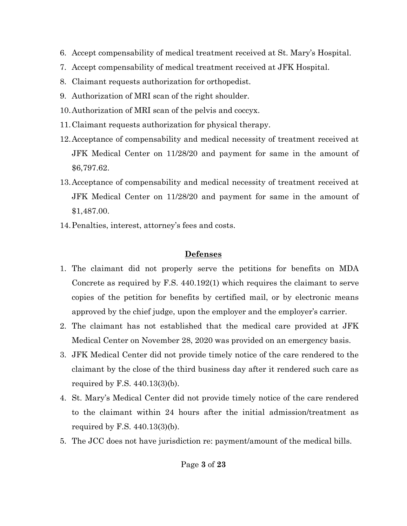- 6. Accept compensability of medical treatment received at St. Mary's Hospital.
- 7. Accept compensability of medical treatment received at JFK Hospital.
- 8. Claimant requests authorization for orthopedist.
- 9. Authorization of MRI scan of the right shoulder.
- 10.Authorization of MRI scan of the pelvis and coccyx.
- 11.Claimant requests authorization for physical therapy.
- 12.Acceptance of compensability and medical necessity of treatment received at JFK Medical Center on 11/28/20 and payment for same in the amount of \$6,797.62.
- 13.Acceptance of compensability and medical necessity of treatment received at JFK Medical Center on 11/28/20 and payment for same in the amount of \$1,487.00.
- 14.Penalties, interest, attorney's fees and costs.

# **Defenses**

- 1. The claimant did not properly serve the petitions for benefits on MDA Concrete as required by F.S. 440.192(1) which requires the claimant to serve copies of the petition for benefits by certified mail, or by electronic means approved by the chief judge, upon the employer and the employer's carrier.
- 2. The claimant has not established that the medical care provided at JFK Medical Center on November 28, 2020 was provided on an emergency basis.
- 3. JFK Medical Center did not provide timely notice of the care rendered to the claimant by the close of the third business day after it rendered such care as required by F.S. 440.13(3)(b).
- 4. St. Mary's Medical Center did not provide timely notice of the care rendered to the claimant within 24 hours after the initial admission/treatment as required by F.S. 440.13(3)(b).
- 5. The JCC does not have jurisdiction re: payment/amount of the medical bills.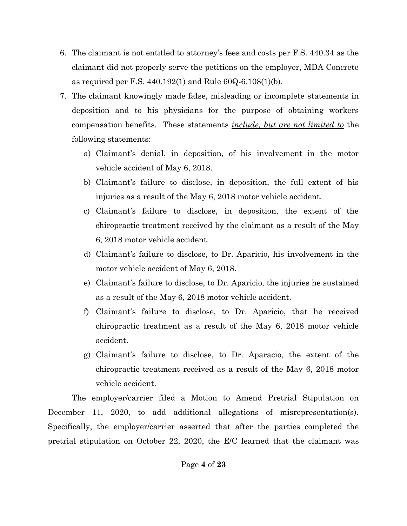- 6. The claimant is not entitled to attorney's fees and costs per F.S. 440.34 as the claimant did not properly serve the petitions on the employer, MDA Concrete as required per F.S. 440.192(1) and Rule 60Q-6.108(1)(b).
- 7. The claimant knowingly made false, misleading or incomplete statements in deposition and to his physicians for the purpose of obtaining workers compensation benefits. These statements *include, but are not limited to* the following statements:
	- a) Claimant's denial, in deposition, of his involvement in the motor vehicle accident of May 6, 2018.
	- b) Claimant's failure to disclose, in deposition, the full extent of his injuries as a result of the May 6, 2018 motor vehicle accident.
	- c) Claimant's failure to disclose, in deposition, the extent of the chiropractic treatment received by the claimant as a result of the May 6, 2018 motor vehicle accident.
	- d) Claimant's failure to disclose, to Dr. Aparicio, his involvement in the motor vehicle accident of May 6, 2018.
	- e) Claimant's failure to disclose, to Dr. Aparicio, the injuries he sustained as a result of the May 6, 2018 motor vehicle accident.
	- f) Claimant's failure to disclose, to Dr. Aparicio, that he received chiropractic treatment as a result of the May 6, 2018 motor vehicle accident.
	- g) Claimant's failure to disclose, to Dr. Aparacio, the extent of the chiropractic treatment received as a result of the May 6, 2018 motor vehicle accident.

The employer/carrier filed a Motion to Amend Pretrial Stipulation on December 11, 2020, to add additional allegations of misrepresentation(s). Specifically, the employer/carrier asserted that after the parties completed the pretrial stipulation on October 22, 2020, the E/C learned that the claimant was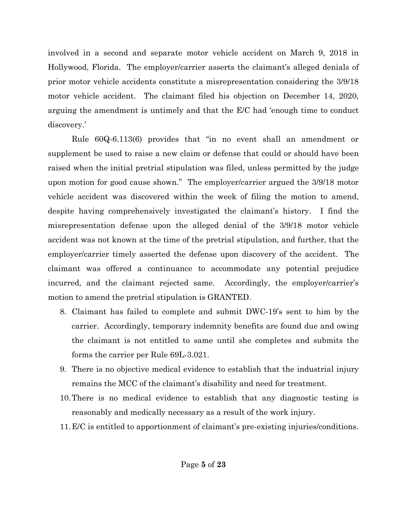involved in a second and separate motor vehicle accident on March 9, 2018 in Hollywood, Florida. The employer/carrier asserts the claimant's alleged denials of prior motor vehicle accidents constitute a misrepresentation considering the 3/9/18 motor vehicle accident. The claimant filed his objection on December 14, 2020, arguing the amendment is untimely and that the E/C had 'enough time to conduct discovery.'

Rule 60Q-6.113(6) provides that "in no event shall an amendment or supplement be used to raise a new claim or defense that could or should have been raised when the initial pretrial stipulation was filed, unless permitted by the judge upon motion for good cause shown." The employer/carrier argued the 3/9/18 motor vehicle accident was discovered within the week of filing the motion to amend, despite having comprehensively investigated the claimant's history. I find the misrepresentation defense upon the alleged denial of the 3/9/18 motor vehicle accident was not known at the time of the pretrial stipulation, and further, that the employer/carrier timely asserted the defense upon discovery of the accident. The claimant was offered a continuance to accommodate any potential prejudice incurred, and the claimant rejected same. Accordingly, the employer/carrier's motion to amend the pretrial stipulation is GRANTED.

- 8. Claimant has failed to complete and submit DWC-19's sent to him by the carrier. Accordingly, temporary indemnity benefits are found due and owing the claimant is not entitled to same until she completes and submits the forms the carrier per Rule 69L-3.021.
- 9. There is no objective medical evidence to establish that the industrial injury remains the MCC of the claimant's disability and need for treatment.
- 10.There is no medical evidence to establish that any diagnostic testing is reasonably and medically necessary as a result of the work injury.
- 11.E/C is entitled to apportionment of claimant's pre-existing injuries/conditions.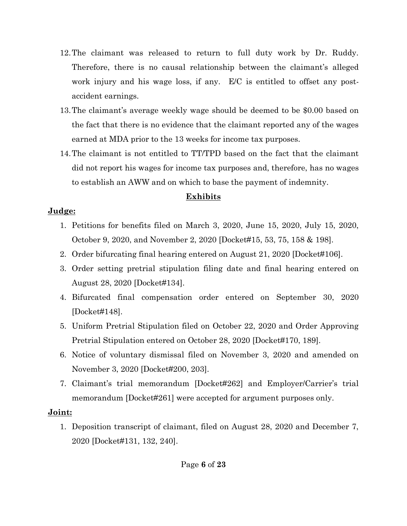- 12.The claimant was released to return to full duty work by Dr. Ruddy. Therefore, there is no causal relationship between the claimant's alleged work injury and his wage loss, if any. E/C is entitled to offset any postaccident earnings.
- 13.The claimant's average weekly wage should be deemed to be \$0.00 based on the fact that there is no evidence that the claimant reported any of the wages earned at MDA prior to the 13 weeks for income tax purposes.
- 14.The claimant is not entitled to TT/TPD based on the fact that the claimant did not report his wages for income tax purposes and, therefore, has no wages to establish an AWW and on which to base the payment of indemnity.

# **Exhibits**

# **Judge:**

- 1. Petitions for benefits filed on March 3, 2020, June 15, 2020, July 15, 2020, October 9, 2020, and November 2, 2020 [Docket#15, 53, 75, 158 & 198].
- 2. Order bifurcating final hearing entered on August 21, 2020 [Docket#106].
- 3. Order setting pretrial stipulation filing date and final hearing entered on August 28, 2020 [Docket#134].
- 4. Bifurcated final compensation order entered on September 30, 2020 [Docket#148].
- 5. Uniform Pretrial Stipulation filed on October 22, 2020 and Order Approving Pretrial Stipulation entered on October 28, 2020 [Docket#170, 189].
- 6. Notice of voluntary dismissal filed on November 3, 2020 and amended on November 3, 2020 [Docket#200, 203].
- 7. Claimant's trial memorandum [Docket#262] and Employer/Carrier's trial memorandum [Docket#261] were accepted for argument purposes only.

# **Joint:**

1. Deposition transcript of claimant, filed on August 28, 2020 and December 7, 2020 [Docket#131, 132, 240].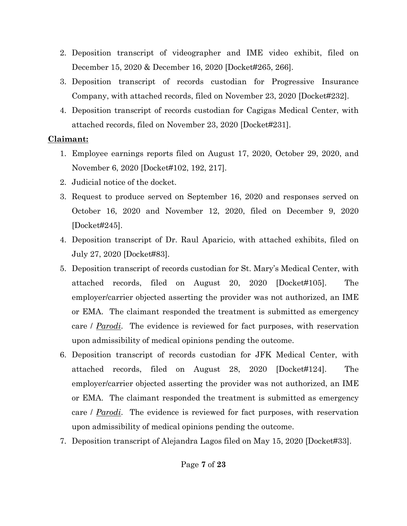- 2. Deposition transcript of videographer and IME video exhibit, filed on December 15, 2020 & December 16, 2020 [Docket#265, 266].
- 3. Deposition transcript of records custodian for Progressive Insurance Company, with attached records, filed on November 23, 2020 [Docket#232].
- 4. Deposition transcript of records custodian for Cagigas Medical Center, with attached records, filed on November 23, 2020 [Docket#231].

### **Claimant:**

- 1. Employee earnings reports filed on August 17, 2020, October 29, 2020, and November 6, 2020 [Docket#102, 192, 217].
- 2. Judicial notice of the docket.
- 3. Request to produce served on September 16, 2020 and responses served on October 16, 2020 and November 12, 2020, filed on December 9, 2020 [Docket#245].
- 4. Deposition transcript of Dr. Raul Aparicio, with attached exhibits, filed on July 27, 2020 [Docket#83].
- 5. Deposition transcript of records custodian for St. Mary's Medical Center, with attached records, filed on August 20, 2020 [Docket#105]. The employer/carrier objected asserting the provider was not authorized, an IME or EMA. The claimant responded the treatment is submitted as emergency care / *Parodi*. The evidence is reviewed for fact purposes, with reservation upon admissibility of medical opinions pending the outcome.
- 6. Deposition transcript of records custodian for JFK Medical Center, with attached records, filed on August 28, 2020 [Docket#124]. The employer/carrier objected asserting the provider was not authorized, an IME or EMA. The claimant responded the treatment is submitted as emergency care / *Parodi*. The evidence is reviewed for fact purposes, with reservation upon admissibility of medical opinions pending the outcome.
- 7. Deposition transcript of Alejandra Lagos filed on May 15, 2020 [Docket#33].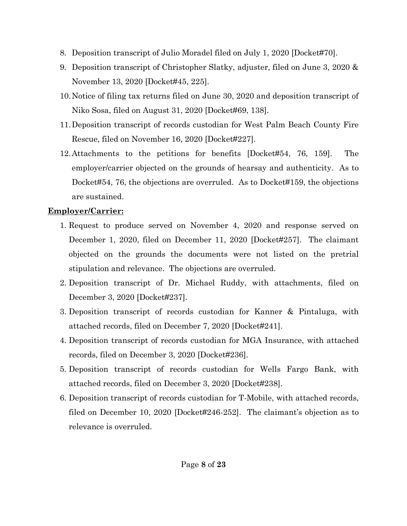- 8. Deposition transcript of Julio Moradel filed on July 1, 2020 [Docket#70].
- 9. Deposition transcript of Christopher Slatky, adjuster, filed on June 3, 2020 & November 13, 2020 [Docket#45, 225].
- 10.Notice of filing tax returns filed on June 30, 2020 and deposition transcript of Niko Sosa, filed on August 31, 2020 [Docket#69, 138].
- 11.Deposition transcript of records custodian for West Palm Beach County Fire Rescue, filed on November 16, 2020 [Docket#227].
- 12.Attachments to the petitions for benefits [Docket#54, 76, 159]. The employer/carrier objected on the grounds of hearsay and authenticity. As to Docket#54, 76, the objections are overruled. As to Docket#159, the objections are sustained.

# **Employer/Carrier:**

- 1. Request to produce served on November 4, 2020 and response served on December 1, 2020, filed on December 11, 2020 [Docket#257]. The claimant objected on the grounds the documents were not listed on the pretrial stipulation and relevance. The objections are overruled.
- 2. Deposition transcript of Dr. Michael Ruddy, with attachments, filed on December 3, 2020 [Docket#237].
- 3. Deposition transcript of records custodian for Kanner & Pintaluga, with attached records, filed on December 7, 2020 [Docket#241].
- 4. Deposition transcript of records custodian for MGA Insurance, with attached records, filed on December 3, 2020 [Docket#236].
- 5. Deposition transcript of records custodian for Wells Fargo Bank, with attached records, filed on December 3, 2020 [Docket#238].
- 6. Deposition transcript of records custodian for T-Mobile, with attached records, filed on December 10, 2020 [Docket#246-252]. The claimant's objection as to relevance is overruled.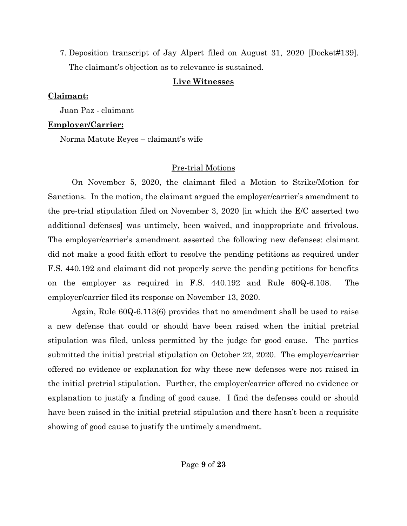7. Deposition transcript of Jay Alpert filed on August 31, 2020 [Docket#139]. The claimant's objection as to relevance is sustained.

#### **Live Witnesses**

### **Claimant:**

Juan Paz - claimant

## **Employer/Carrier:**

Norma Matute Reyes – claimant's wife

# Pre-trial Motions

On November 5, 2020, the claimant filed a Motion to Strike/Motion for Sanctions. In the motion, the claimant argued the employer/carrier's amendment to the pre-trial stipulation filed on November 3, 2020 [in which the E/C asserted two additional defenses] was untimely, been waived, and inappropriate and frivolous. The employer/carrier's amendment asserted the following new defenses: claimant did not make a good faith effort to resolve the pending petitions as required under F.S. 440.192 and claimant did not properly serve the pending petitions for benefits on the employer as required in F.S. 440.192 and Rule 60Q-6.108. The employer/carrier filed its response on November 13, 2020.

Again, Rule 60Q-6.113(6) provides that no amendment shall be used to raise a new defense that could or should have been raised when the initial pretrial stipulation was filed, unless permitted by the judge for good cause. The parties submitted the initial pretrial stipulation on October 22, 2020. The employer/carrier offered no evidence or explanation for why these new defenses were not raised in the initial pretrial stipulation. Further, the employer/carrier offered no evidence or explanation to justify a finding of good cause. I find the defenses could or should have been raised in the initial pretrial stipulation and there hasn't been a requisite showing of good cause to justify the untimely amendment.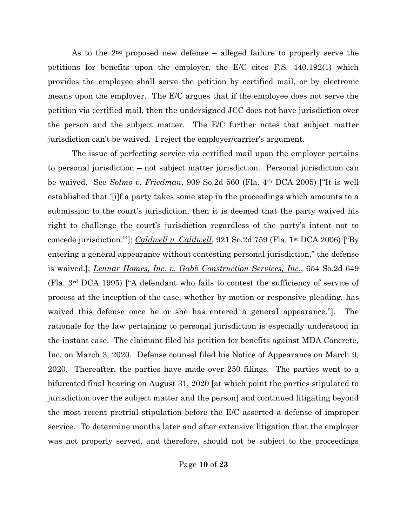As to the 2nd proposed new defense – alleged failure to properly serve the petitions for benefits upon the employer, the E/C cites F.S. 440.192(1) which provides the employee shall serve the petition by certified mail, or by electronic means upon the employer. The E/C argues that if the employee does not serve the petition via certified mail, then the undersigned JCC does not have jurisdiction over the person and the subject matter. The E/C further notes that subject matter jurisdiction can't be waived. I reject the employer/carrier's argument.

The issue of perfecting service via certified mail upon the employer pertains to personal jurisdiction – not subject matter jurisdiction. Personal jurisdiction can be waived. See *Solmo v. Friedman*, 909 So.2d 560 (Fla. 4th DCA 2005) ["It is well established that '[i]f a party takes some step in the proceedings which amounts to a submission to the court's jurisdiction, then it is deemed that the party waived his right to challenge the court's jurisdiction regardless of the party's intent not to concede jurisdiction.'"]; *Caldwell v. Caldwell*, 921 So.2d 759 (Fla. 1st DCA 2006) ["By entering a general appearance without contesting personal jurisdiction," the defense is waived.]; *Lennar Homes, Inc. v. Gabb Construction Services, Inc.*, 654 So.2d 649 (Fla. 3rd DCA 1995) ["A defendant who fails to contest the sufficiency of service of process at the inception of the case, whether by motion or responsive pleading, has waived this defense once he or she has entered a general appearance."]. The rationale for the law pertaining to personal jurisdiction is especially understood in the instant case. The claimant filed his petition for benefits against MDA Concrete, Inc. on March 3, 2020. Defense counsel filed his Notice of Appearance on March 9, 2020. Thereafter, the parties have made over 250 filings. The parties went to a bifurcated final hearing on August 31, 2020 [at which point the parties stipulated to jurisdiction over the subject matter and the person] and continued litigating beyond the most recent pretrial stipulation before the E/C asserted a defense of improper service. To determine months later and after extensive litigation that the employer was not properly served, and therefore, should not be subject to the proceedings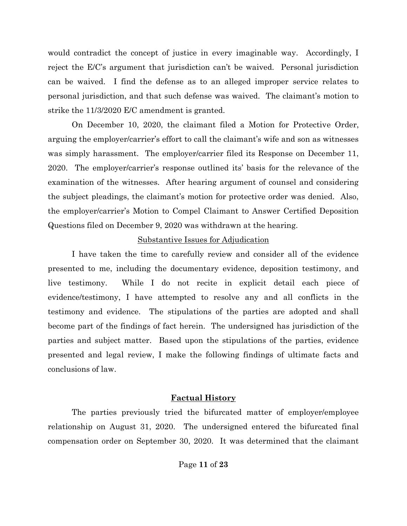would contradict the concept of justice in every imaginable way. Accordingly, I reject the E/C's argument that jurisdiction can't be waived. Personal jurisdiction can be waived. I find the defense as to an alleged improper service relates to personal jurisdiction, and that such defense was waived. The claimant's motion to strike the 11/3/2020 E/C amendment is granted.

On December 10, 2020, the claimant filed a Motion for Protective Order, arguing the employer/carrier's effort to call the claimant's wife and son as witnesses was simply harassment. The employer/carrier filed its Response on December 11, 2020. The employer/carrier's response outlined its' basis for the relevance of the examination of the witnesses. After hearing argument of counsel and considering the subject pleadings, the claimant's motion for protective order was denied. Also, the employer/carrier's Motion to Compel Claimant to Answer Certified Deposition Questions filed on December 9, 2020 was withdrawn at the hearing.

#### Substantive Issues for Adjudication

I have taken the time to carefully review and consider all of the evidence presented to me, including the documentary evidence, deposition testimony, and live testimony. While I do not recite in explicit detail each piece of evidence/testimony, I have attempted to resolve any and all conflicts in the testimony and evidence. The stipulations of the parties are adopted and shall become part of the findings of fact herein. The undersigned has jurisdiction of the parties and subject matter. Based upon the stipulations of the parties, evidence presented and legal review, I make the following findings of ultimate facts and conclusions of law.

#### **Factual History**

The parties previously tried the bifurcated matter of employer/employee relationship on August 31, 2020. The undersigned entered the bifurcated final compensation order on September 30, 2020. It was determined that the claimant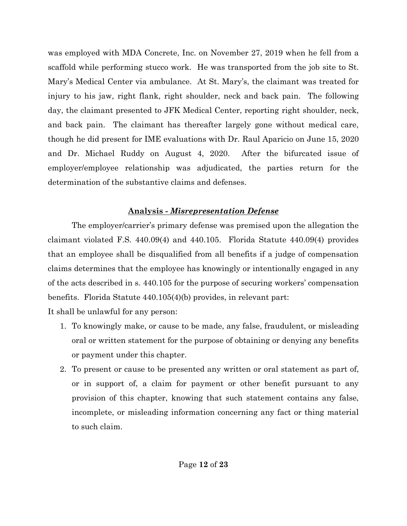was employed with MDA Concrete, Inc. on November 27, 2019 when he fell from a scaffold while performing stucco work. He was transported from the job site to St. Mary's Medical Center via ambulance. At St. Mary's, the claimant was treated for injury to his jaw, right flank, right shoulder, neck and back pain. The following day, the claimant presented to JFK Medical Center, reporting right shoulder, neck, and back pain. The claimant has thereafter largely gone without medical care, though he did present for IME evaluations with Dr. Raul Aparicio on June 15, 2020 and Dr. Michael Ruddy on August 4, 2020. After the bifurcated issue of employer/employee relationship was adjudicated, the parties return for the determination of the substantive claims and defenses.

### **Analysis** *- Misrepresentation Defense*

The employer/carrier's primary defense was premised upon the allegation the claimant violated F.S. 440.09(4) and 440.105. Florida Statute 440.09(4) provides that an employee shall be disqualified from all benefits if a judge of compensation claims determines that the employee has knowingly or intentionally engaged in any of the acts described in s. 440.105 for the purpose of securing workers' compensation benefits. Florida Statute 440.105(4)(b) provides, in relevant part:

It shall be unlawful for any person:

- 1. To knowingly make, or cause to be made, any false, fraudulent, or misleading oral or written statement for the purpose of obtaining or denying any benefits or payment under this chapter.
- 2. To present or cause to be presented any written or oral statement as part of, or in support of, a claim for payment or other benefit pursuant to any provision of this chapter, knowing that such statement contains any false, incomplete, or misleading information concerning any fact or thing material to such claim.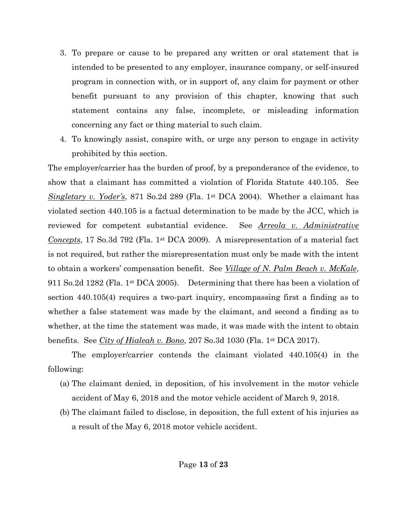- 3. To prepare or cause to be prepared any written or oral statement that is intended to be presented to any employer, insurance company, or self-insured program in connection with, or in support of, any claim for payment or other benefit pursuant to any provision of this chapter, knowing that such statement contains any false, incomplete, or misleading information concerning any fact or thing material to such claim.
- 4. To knowingly assist, conspire with, or urge any person to engage in activity prohibited by this section.

The employer/carrier has the burden of proof, by a preponderance of the evidence, to show that a claimant has committed a violation of Florida Statute 440.105. See *Singletary v. Yoder's*, 871 So.2d 289 (Fla. 1st DCA 2004). Whether a claimant has violated section 440.105 is a factual determination to be made by the JCC, which is reviewed for competent substantial evidence. See *Arreola v. Administrative Concepts*, 17 So.3d 792 (Fla. 1<sup>st</sup> DCA 2009). A misrepresentation of a material fact is not required, but rather the misrepresentation must only be made with the intent to obtain a workers' compensation benefit. See *Village of N. Palm Beach v. McKale*, 911 So.2d 1282 (Fla. 1st DCA 2005). Determining that there has been a violation of section 440.105(4) requires a two-part inquiry, encompassing first a finding as to whether a false statement was made by the claimant, and second a finding as to whether, at the time the statement was made, it was made with the intent to obtain benefits. See *City of Hialeah v. Bono*, 207 So.3d 1030 (Fla. 1st DCA 2017).

The employer/carrier contends the claimant violated 440.105(4) in the following:

- (a) The claimant denied, in deposition, of his involvement in the motor vehicle accident of May 6, 2018 and the motor vehicle accident of March 9, 2018.
- (b) The claimant failed to disclose, in deposition, the full extent of his injuries as a result of the May 6, 2018 motor vehicle accident.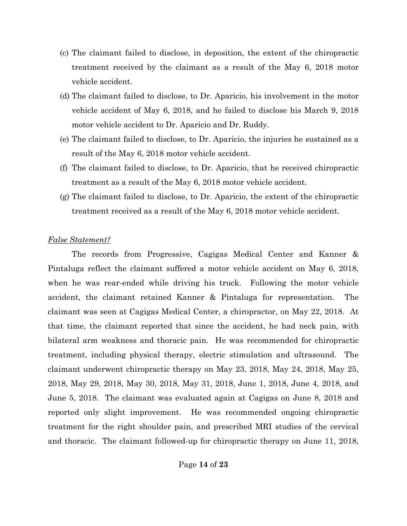- (c) The claimant failed to disclose, in deposition, the extent of the chiropractic treatment received by the claimant as a result of the May 6, 2018 motor vehicle accident.
- (d) The claimant failed to disclose, to Dr. Aparicio, his involvement in the motor vehicle accident of May 6, 2018, and he failed to disclose his March 9, 2018 motor vehicle accident to Dr. Aparicio and Dr. Ruddy.
- (e) The claimant failed to disclose, to Dr. Aparicio, the injuries he sustained as a result of the May 6, 2018 motor vehicle accident.
- (f) The claimant failed to disclose, to Dr. Aparicio, that he received chiropractic treatment as a result of the May 6, 2018 motor vehicle accident.
- (g) The claimant failed to disclose, to Dr. Aparicio, the extent of the chiropractic treatment received as a result of the May 6, 2018 motor vehicle accident.

#### *False Statement?*

The records from Progressive, Cagigas Medical Center and Kanner & Pintaluga reflect the claimant suffered a motor vehicle accident on May 6, 2018, when he was rear-ended while driving his truck. Following the motor vehicle accident, the claimant retained Kanner & Pintaluga for representation. The claimant was seen at Cagigas Medical Center, a chiropractor, on May 22, 2018. At that time, the claimant reported that since the accident, he had neck pain, with bilateral arm weakness and thoracic pain. He was recommended for chiropractic treatment, including physical therapy, electric stimulation and ultrasound. The claimant underwent chiropractic therapy on May 23, 2018, May 24, 2018, May 25, 2018, May 29, 2018, May 30, 2018, May 31, 2018, June 1, 2018, June 4, 2018, and June 5, 2018. The claimant was evaluated again at Cagigas on June 8, 2018 and reported only slight improvement. He was recommended ongoing chiropractic treatment for the right shoulder pain, and prescribed MRI studies of the cervical and thoracic. The claimant followed-up for chiropractic therapy on June 11, 2018,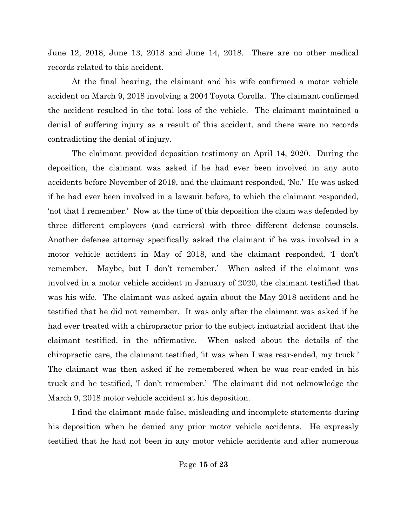June 12, 2018, June 13, 2018 and June 14, 2018. There are no other medical records related to this accident.

At the final hearing, the claimant and his wife confirmed a motor vehicle accident on March 9, 2018 involving a 2004 Toyota Corolla. The claimant confirmed the accident resulted in the total loss of the vehicle. The claimant maintained a denial of suffering injury as a result of this accident, and there were no records contradicting the denial of injury.

The claimant provided deposition testimony on April 14, 2020. During the deposition, the claimant was asked if he had ever been involved in any auto accidents before November of 2019, and the claimant responded, 'No.' He was asked if he had ever been involved in a lawsuit before, to which the claimant responded, 'not that I remember.' Now at the time of this deposition the claim was defended by three different employers (and carriers) with three different defense counsels. Another defense attorney specifically asked the claimant if he was involved in a motor vehicle accident in May of 2018, and the claimant responded, 'I don't remember. Maybe, but I don't remember.' When asked if the claimant was involved in a motor vehicle accident in January of 2020, the claimant testified that was his wife. The claimant was asked again about the May 2018 accident and he testified that he did not remember. It was only after the claimant was asked if he had ever treated with a chiropractor prior to the subject industrial accident that the claimant testified, in the affirmative. When asked about the details of the chiropractic care, the claimant testified, 'it was when I was rear-ended, my truck.' The claimant was then asked if he remembered when he was rear-ended in his truck and he testified, 'I don't remember.' The claimant did not acknowledge the March 9, 2018 motor vehicle accident at his deposition.

I find the claimant made false, misleading and incomplete statements during his deposition when he denied any prior motor vehicle accidents. He expressly testified that he had not been in any motor vehicle accidents and after numerous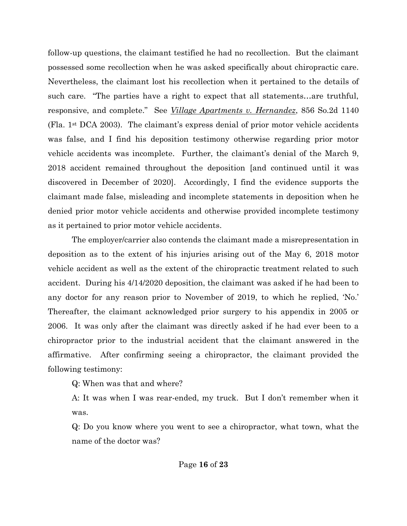follow-up questions, the claimant testified he had no recollection. But the claimant possessed some recollection when he was asked specifically about chiropractic care. Nevertheless, the claimant lost his recollection when it pertained to the details of such care. "The parties have a right to expect that all statements…are truthful, responsive, and complete." See *Village Apartments v. Hernandez*, 856 So.2d 1140 (Fla. 1st DCA 2003). The claimant's express denial of prior motor vehicle accidents was false, and I find his deposition testimony otherwise regarding prior motor vehicle accidents was incomplete. Further, the claimant's denial of the March 9, 2018 accident remained throughout the deposition [and continued until it was discovered in December of 2020]. Accordingly, I find the evidence supports the claimant made false, misleading and incomplete statements in deposition when he denied prior motor vehicle accidents and otherwise provided incomplete testimony as it pertained to prior motor vehicle accidents.

The employer/carrier also contends the claimant made a misrepresentation in deposition as to the extent of his injuries arising out of the May 6, 2018 motor vehicle accident as well as the extent of the chiropractic treatment related to such accident. During his 4/14/2020 deposition, the claimant was asked if he had been to any doctor for any reason prior to November of 2019, to which he replied, 'No.' Thereafter, the claimant acknowledged prior surgery to his appendix in 2005 or 2006. It was only after the claimant was directly asked if he had ever been to a chiropractor prior to the industrial accident that the claimant answered in the affirmative. After confirming seeing a chiropractor, the claimant provided the following testimony:

Q: When was that and where?

A: It was when I was rear-ended, my truck. But I don't remember when it was.

Q: Do you know where you went to see a chiropractor, what town, what the name of the doctor was?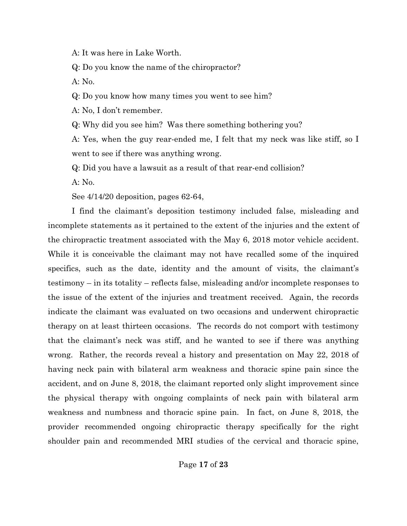A: It was here in Lake Worth.

Q: Do you know the name of the chiropractor?

A: No.

Q: Do you know how many times you went to see him?

A: No, I don't remember.

Q: Why did you see him? Was there something bothering you?

A: Yes, when the guy rear-ended me, I felt that my neck was like stiff, so I went to see if there was anything wrong.

Q: Did you have a lawsuit as a result of that rear-end collision?

A: No.

See 4/14/20 deposition, pages 62-64,

I find the claimant's deposition testimony included false, misleading and incomplete statements as it pertained to the extent of the injuries and the extent of the chiropractic treatment associated with the May 6, 2018 motor vehicle accident. While it is conceivable the claimant may not have recalled some of the inquired specifics, such as the date, identity and the amount of visits, the claimant's testimony – in its totality – reflects false, misleading and/or incomplete responses to the issue of the extent of the injuries and treatment received. Again, the records indicate the claimant was evaluated on two occasions and underwent chiropractic therapy on at least thirteen occasions. The records do not comport with testimony that the claimant's neck was stiff, and he wanted to see if there was anything wrong. Rather, the records reveal a history and presentation on May 22, 2018 of having neck pain with bilateral arm weakness and thoracic spine pain since the accident, and on June 8, 2018, the claimant reported only slight improvement since the physical therapy with ongoing complaints of neck pain with bilateral arm weakness and numbness and thoracic spine pain. In fact, on June 8, 2018, the provider recommended ongoing chiropractic therapy specifically for the right shoulder pain and recommended MRI studies of the cervical and thoracic spine,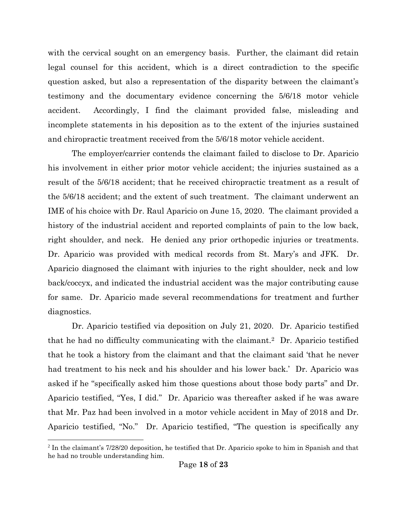with the cervical sought on an emergency basis. Further, the claimant did retain legal counsel for this accident, which is a direct contradiction to the specific question asked, but also a representation of the disparity between the claimant's testimony and the documentary evidence concerning the 5/6/18 motor vehicle accident. Accordingly, I find the claimant provided false, misleading and incomplete statements in his deposition as to the extent of the injuries sustained and chiropractic treatment received from the 5/6/18 motor vehicle accident.

The employer/carrier contends the claimant failed to disclose to Dr. Aparicio his involvement in either prior motor vehicle accident; the injuries sustained as a result of the 5/6/18 accident; that he received chiropractic treatment as a result of the 5/6/18 accident; and the extent of such treatment. The claimant underwent an IME of his choice with Dr. Raul Aparicio on June 15, 2020. The claimant provided a history of the industrial accident and reported complaints of pain to the low back, right shoulder, and neck. He denied any prior orthopedic injuries or treatments. Dr. Aparicio was provided with medical records from St. Mary's and JFK. Dr. Aparicio diagnosed the claimant with injuries to the right shoulder, neck and low back/coccyx, and indicated the industrial accident was the major contributing cause for same. Dr. Aparicio made several recommendations for treatment and further diagnostics.

Dr. Aparicio testified via deposition on July 21, 2020. Dr. Aparicio testified that he had no difficulty communicating with the claimant.2 Dr. Aparicio testified that he took a history from the claimant and that the claimant said 'that he never had treatment to his neck and his shoulder and his lower back.' Dr. Aparicio was asked if he "specifically asked him those questions about those body parts" and Dr. Aparicio testified, "Yes, I did." Dr. Aparicio was thereafter asked if he was aware that Mr. Paz had been involved in a motor vehicle accident in May of 2018 and Dr. Aparicio testified, "No." Dr. Aparicio testified, "The question is specifically any

 $\overline{a}$ 

<sup>2</sup> In the claimant's 7/28/20 deposition, he testified that Dr. Aparicio spoke to him in Spanish and that he had no trouble understanding him.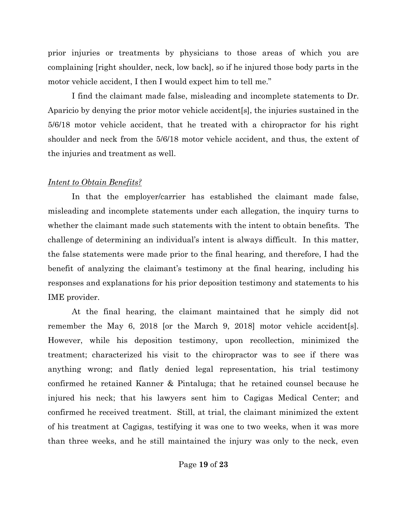prior injuries or treatments by physicians to those areas of which you are complaining [right shoulder, neck, low back], so if he injured those body parts in the motor vehicle accident, I then I would expect him to tell me."

I find the claimant made false, misleading and incomplete statements to Dr. Aparicio by denying the prior motor vehicle accident[s], the injuries sustained in the 5/6/18 motor vehicle accident, that he treated with a chiropractor for his right shoulder and neck from the 5/6/18 motor vehicle accident, and thus, the extent of the injuries and treatment as well.

#### *Intent to Obtain Benefits?*

In that the employer/carrier has established the claimant made false, misleading and incomplete statements under each allegation, the inquiry turns to whether the claimant made such statements with the intent to obtain benefits. The challenge of determining an individual's intent is always difficult. In this matter, the false statements were made prior to the final hearing, and therefore, I had the benefit of analyzing the claimant's testimony at the final hearing, including his responses and explanations for his prior deposition testimony and statements to his IME provider.

At the final hearing, the claimant maintained that he simply did not remember the May 6, 2018 [or the March 9, 2018] motor vehicle accident[s]. However, while his deposition testimony, upon recollection, minimized the treatment; characterized his visit to the chiropractor was to see if there was anything wrong; and flatly denied legal representation, his trial testimony confirmed he retained Kanner & Pintaluga; that he retained counsel because he injured his neck; that his lawyers sent him to Cagigas Medical Center; and confirmed he received treatment. Still, at trial, the claimant minimized the extent of his treatment at Cagigas, testifying it was one to two weeks, when it was more than three weeks, and he still maintained the injury was only to the neck, even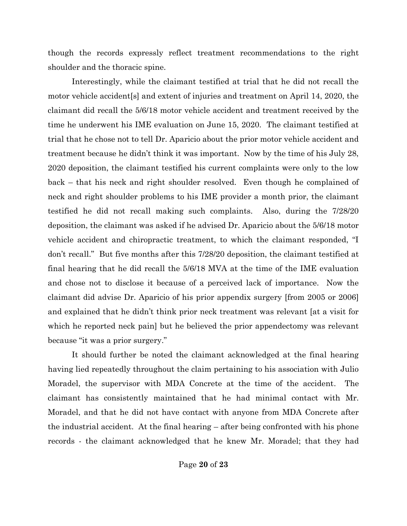though the records expressly reflect treatment recommendations to the right shoulder and the thoracic spine.

Interestingly, while the claimant testified at trial that he did not recall the motor vehicle accident[s] and extent of injuries and treatment on April 14, 2020, the claimant did recall the 5/6/18 motor vehicle accident and treatment received by the time he underwent his IME evaluation on June 15, 2020. The claimant testified at trial that he chose not to tell Dr. Aparicio about the prior motor vehicle accident and treatment because he didn't think it was important. Now by the time of his July 28, 2020 deposition, the claimant testified his current complaints were only to the low back – that his neck and right shoulder resolved. Even though he complained of neck and right shoulder problems to his IME provider a month prior, the claimant testified he did not recall making such complaints. Also, during the 7/28/20 deposition, the claimant was asked if he advised Dr. Aparicio about the 5/6/18 motor vehicle accident and chiropractic treatment, to which the claimant responded, "I don't recall." But five months after this 7/28/20 deposition, the claimant testified at final hearing that he did recall the 5/6/18 MVA at the time of the IME evaluation and chose not to disclose it because of a perceived lack of importance. Now the claimant did advise Dr. Aparicio of his prior appendix surgery [from 2005 or 2006] and explained that he didn't think prior neck treatment was relevant [at a visit for which he reported neck pain] but he believed the prior appendectomy was relevant because "it was a prior surgery."

It should further be noted the claimant acknowledged at the final hearing having lied repeatedly throughout the claim pertaining to his association with Julio Moradel, the supervisor with MDA Concrete at the time of the accident. The claimant has consistently maintained that he had minimal contact with Mr. Moradel, and that he did not have contact with anyone from MDA Concrete after the industrial accident. At the final hearing – after being confronted with his phone records - the claimant acknowledged that he knew Mr. Moradel; that they had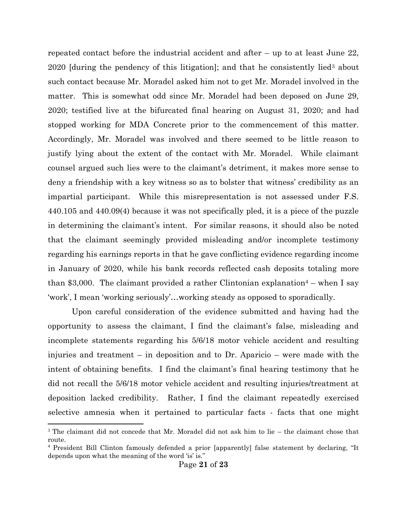repeated contact before the industrial accident and after – up to at least June 22, 2020 [during the pendency of this litigation]; and that he consistently lied<sup>3</sup> about such contact because Mr. Moradel asked him not to get Mr. Moradel involved in the matter. This is somewhat odd since Mr. Moradel had been deposed on June 29, 2020; testified live at the bifurcated final hearing on August 31, 2020; and had stopped working for MDA Concrete prior to the commencement of this matter. Accordingly, Mr. Moradel was involved and there seemed to be little reason to justify lying about the extent of the contact with Mr. Moradel. While claimant counsel argued such lies were to the claimant's detriment, it makes more sense to deny a friendship with a key witness so as to bolster that witness' credibility as an impartial participant. While this misrepresentation is not assessed under F.S. 440.105 and 440.09(4) because it was not specifically pled, it is a piece of the puzzle in determining the claimant's intent. For similar reasons, it should also be noted that the claimant seemingly provided misleading and/or incomplete testimony regarding his earnings reports in that he gave conflicting evidence regarding income in January of 2020, while his bank records reflected cash deposits totaling more than \$3,000. The claimant provided a rather Clintonian explanation<sup>4</sup> – when I say 'work', I mean 'working seriously'…working steady as opposed to sporadically.

Upon careful consideration of the evidence submitted and having had the opportunity to assess the claimant, I find the claimant's false, misleading and incomplete statements regarding his 5/6/18 motor vehicle accident and resulting injuries and treatment – in deposition and to Dr. Aparicio – were made with the intent of obtaining benefits. I find the claimant's final hearing testimony that he did not recall the 5/6/18 motor vehicle accident and resulting injuries/treatment at deposition lacked credibility. Rather, I find the claimant repeatedly exercised selective amnesia when it pertained to particular facts - facts that one might

 $\overline{a}$ 

<sup>3</sup> The claimant did not concede that Mr. Moradel did not ask him to lie – the claimant chose that route.

<sup>4</sup> President Bill Clinton famously defended a prior [apparently] false statement by declaring, "It depends upon what the meaning of the word 'is' is."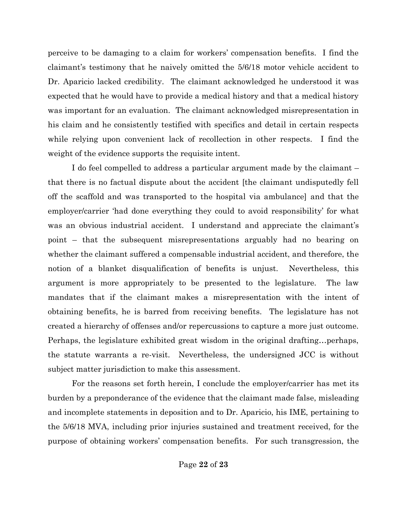perceive to be damaging to a claim for workers' compensation benefits. I find the claimant's testimony that he naively omitted the 5/6/18 motor vehicle accident to Dr. Aparicio lacked credibility. The claimant acknowledged he understood it was expected that he would have to provide a medical history and that a medical history was important for an evaluation. The claimant acknowledged misrepresentation in his claim and he consistently testified with specifics and detail in certain respects while relying upon convenient lack of recollection in other respects. I find the weight of the evidence supports the requisite intent.

I do feel compelled to address a particular argument made by the claimant – that there is no factual dispute about the accident [the claimant undisputedly fell off the scaffold and was transported to the hospital via ambulance] and that the employer/carrier 'had done everything they could to avoid responsibility' for what was an obvious industrial accident. I understand and appreciate the claimant's point – that the subsequent misrepresentations arguably had no bearing on whether the claimant suffered a compensable industrial accident, and therefore, the notion of a blanket disqualification of benefits is unjust. Nevertheless, this argument is more appropriately to be presented to the legislature. The law mandates that if the claimant makes a misrepresentation with the intent of obtaining benefits, he is barred from receiving benefits. The legislature has not created a hierarchy of offenses and/or repercussions to capture a more just outcome. Perhaps, the legislature exhibited great wisdom in the original drafting…perhaps, the statute warrants a re-visit. Nevertheless, the undersigned JCC is without subject matter jurisdiction to make this assessment.

For the reasons set forth herein, I conclude the employer/carrier has met its burden by a preponderance of the evidence that the claimant made false, misleading and incomplete statements in deposition and to Dr. Aparicio, his IME, pertaining to the 5/6/18 MVA, including prior injuries sustained and treatment received, for the purpose of obtaining workers' compensation benefits. For such transgression, the